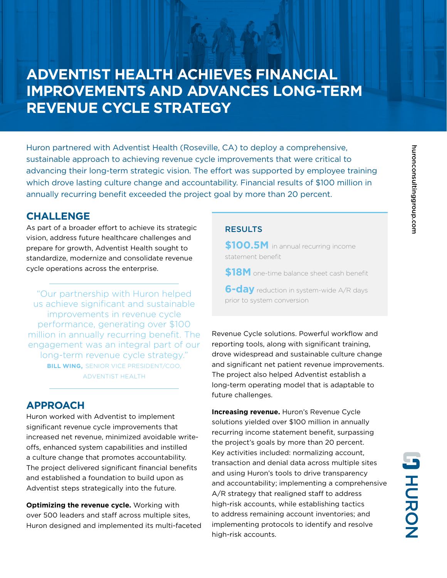# **ADVENTIST HEALTH ACHIEVES FINANCIAL IMPROVEMENTS AND ADVANCES LONG-TERM REVENUE CYCLE STRATEGY**

Huron partnered with Adventist Health (Roseville, CA) to deploy a comprehensive, sustainable approach to achieving revenue cycle improvements that were critical to advancing their long-term strategic vision. The effort was supported by employee training which drove lasting culture change and accountability. Financial results of \$100 million in annually recurring benefit exceeded the project goal by more than 20 percent.

### **CHALLENGE**

As part of a broader effort to achieve its strategic vision, address future healthcare challenges and prepare for growth, Adventist Health sought to standardize, modernize and consolidate revenue cycle operations across the enterprise.

"Our partnership with Huron helped us achieve significant and sustainable improvements in revenue cycle performance, generating over \$100 million in annually recurring benefit. The engagement was an integral part of our long-term revenue cycle strategy." **BILL WING,** SENIOR VICE PRESIDENT/COO, ADVENTIST HEALTH

### **APPROACH**

Huron worked with Adventist to implement significant revenue cycle improvements that increased net revenue, minimized avoidable writeoffs, enhanced system capabilities and instilled a culture change that promotes accountability. The project delivered significant financial benefits and established a foundation to build upon as Adventist steps strategically into the future.

**Optimizing the revenue cycle.** Working with over 500 leaders and staff across multiple sites, Huron designed and implemented its multi-faceted

#### **RESULTS**

**\$100.5M** in annual recurring income statement benefit

**\$18M** one-time balance sheet cash benefit

**6-day** reduction in system-wide A/R days prior to system conversion

Revenue Cycle solutions. Powerful workflow and reporting tools, along with significant training, drove widespread and sustainable culture change and significant net patient revenue improvements. The project also helped Adventist establish a long-term operating model that is adaptable to future challenges.

**Increasing revenue.** Huron's Revenue Cycle solutions yielded over \$100 million in annually recurring income statement benefit, surpassing the project's goals by more than 20 percent. Key activities included: normalizing account, transaction and denial data across multiple sites and using Huron's tools to drive transparency and accountability; implementing a comprehensive A/R strategy that realigned staff to address high-risk accounts, while establishing tactics to address remaining account inventories; and implementing protocols to identify and resolve high-risk accounts.

**JHURON**